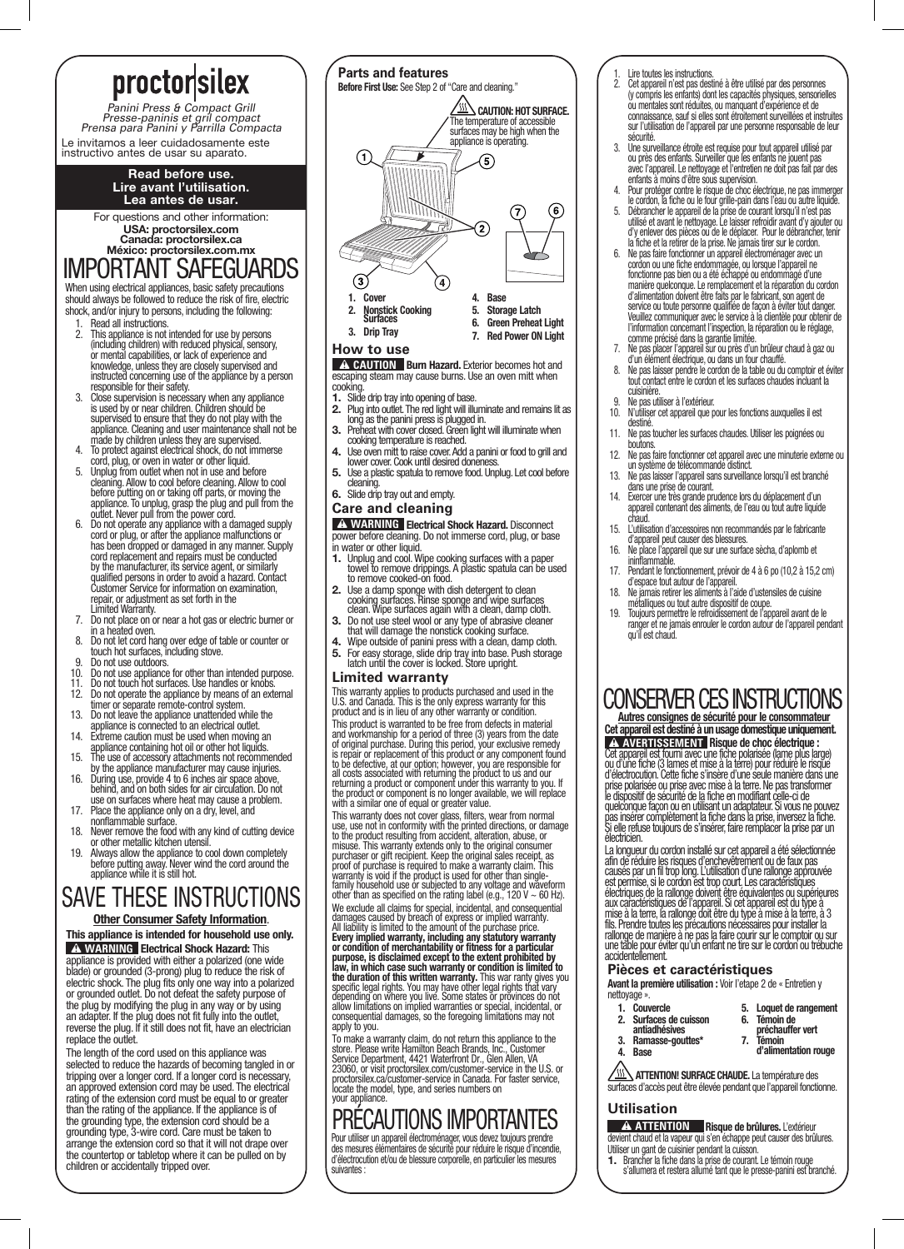# proctorsilex

Panini Press & Compact Grill Presse-paninis et gril compact Prensa para Panini y Parrilla Compacta Le invitamos a leer cuidadosamente este instructivo antes de usar su aparato.

#### Read before use. Lire avant l'utilisation. Lea antes de usar.

For questions and other information: USA: proctorsilex.com Canada: proctorsilex.ca México: proctorsilex.com.mx

# IMPORTANT SAFEGUARDS

When using electrical appliances, basic safety precautions should always be followed to reduce the risk of fire, electric shock, and/or injury to persons, including the following:

- 1. Read all instructions. 2. This appliance is not intended for use by persons (including children) with reduced physical, sensory, or mental capabilities, or lack of experience and knowledge, unless they are closely supervised and instructed concerning use of the appliance by a person responsible for their safety.
- 3. Close supervision is necessary when any appliance is used by or near children. Children should be supervised to ensure that they do not play with the appliance. Cleaning and user maintenance shall not be
- made by children unless they are supervised. 4. To protect against electrical shock, do not immerse
- cord, plug, or oven in water or other liquid.<br>Unplug from outlet when not in use and before
- 5. Unplug from outlet when not in use and before<br>clearing. Allow to cool before clearing. Allow to cool<br>before putting on or taking off parts, or moving the<br>appliance. To unplug, grasp the plug and pull from the<br>outlet. Ne repair, or adjustment as set forth in the
- Limited Warranty. 7. Do not place on or near a hot gas or electric burner or
- in a heated oven. 8. Do not let cord hang over edge of table or counter or touch hot surfaces, including stove. 9. Do not use outdoors.
- 
- 10. Do not use appliance for other than intended purpose. 11. Do not touch hot surfaces. Use handles or knobs.
- 
- 
- 
- 12. Do not operate the appliance by means of an external<br>timer or separate remote-control system.<br>13. Do not leave the appliance unattended while the<br>appliance is connected to an electrical outlet.<br>14. Extreme caution must
- 
- appliance containing hot oil or other hot liquids. 15. The use of accessory attachments not recommended
- by the appliance manufacturer may cause injuries. 16. During use, provide 4 to 6 inches air space above, behind, and on both sides for air circulation. Do not use on surfaces where heat may cause a problem.
- 17. Place the appliance only on a dry, level, and nonflammable surface.
- 18. Never remove the food with any kind of cutting device
- or other metallic kitchen utensil. 19. Always allow the appliance to cool down completely before putting away. Never wind the cord around the appliance while it is still hot.

# SAVE THESE INSTRUCTIONS

#### **Other Consumer Safety Information.**

This appliance is intended for household use only. **A WARNING Electrical Shock Hazard: This** appliance is provided with either a polarized (one wide blade) or grounded (3-prong) plug to reduce the risk of electric shock. The plug fits only one way into a polarized or grounded outlet. Do not defeat the safety purpose of the plug by modifying the plug in any way or by using an adapter. If the plug does not fit fully into the outlet, reverse the plug. If it still does not fit, have an electrician replace the outlet.

The length of the cord used on this appliance was selected to reduce the hazards of becoming tangled in or tripping over a longer cord. If a longer cord is necessary, an approved extension cord may be used. The electrical rating of the extension cord must be equal to or greater than the rating of the appliance. If the appliance is of the grounding type, the extension cord should be a grounding type, 3-wire cord. Care must be taken to arrange the extension cord so that it will not drape over the countertop or tabletop where it can be pulled on by children or accidentally tripped over.



#### **How to use**

**A CAUTION** Burn Hazard. Exterior becomes hot and escaping steam may cause burns. Use an oven mitt when cooking.

- 1. Slide drip tray into opening of base.
- 
- 2. Plug into outlet. The red light will illuminate and remains lit as long as the panini press is plugged in. 3. Preheat with cover closed. Green light will illuminate when cooking temperature is reached.
- 4. Use oven mitt to raise cover. Add a panini or food to grill and lower cover. Cook until desired doneness.
- 5. Use a plastic spatula to remove food. Unplug. Let cool before cleaning.

### 6. Slide drip tray out and empty.

### **Care and cleaning**

**A WARNING** Electrical Shock Hazard. Disconnect power before cleaning. Do not immerse cord, plug, or base in water or other liquid.

- 1. Unplug and cool. Wipe cooking surfaces with a paper towel to remove drippings. A plastic spatula can be used to remove cooked-on food.
- 
- 2. Use a damp sponge with dish detergent to clean cooking surfaces. Rinse sponge and wipe surfaces clean. Wipe surfaces again with a clean, damp cloth. 3. Do not use steel wool or any type of abrasive cleaner
- that will damage the nonstick cooking surface. 4. Wipe outside of panini press with a clean, damp cloth.
- 5. For easy storage, slide drip tray into base. Push storage latch until the cover is locked. Store upright.

#### **Limited warranty**

This warranty applies to products purchased and used in the U.S. and Canada. This is the only express warranty for this product and is in lieu of any other warranty or condition. This product is warranted to be free from defects in material<br>and workmanship for a period of three (3) years from the date<br>of original purchase. During this period, your exclusive remedy<br>is repair or replacement of this p

This warranty does not cover glass, filters, wear from normal<br>use, use not in conformity with the printed directions, or damage<br>to the product resulting from accident, alteration, abuse, or<br>misuse. This warranty extends o We exclude all claims for special, incidental, and consequential damages caused by breach of express or implied warranty.<br>All liability is limited to the amount of the purchase price.<br>**Every implied warranty, including any statutory warranty**<br>**or condition of merchantability or fitness the duration of this written warranty.** This war ranty gives you<br>specific legal rights. You may have other legal rights that vary<br>depending on where you live. Some states or provinces do not<br>allow limitations on implied w apply to you.

To make a warranty claim, do not return this appliance to the<br>store. Please write Hamilton Beach Brands, Inc., Customer<br>Service Department, 4421 Waterfront Dr., Glen Allen, VA<br>23060, or visit proctorsilex.com/customer-serv your appliance.

# PRÉCAUTIONS IMPORTANTES

Pour utiliser un appareil électroménager, vous devez toujours prendre des mesures élémentaires de sécurité pour réduire le risque d'incendie, d'électrocution et/ou de blessure corporelle, en particulier les mesures suivantes :

- 1. Lire toutes les instructions. 2. Cet appareil n'est pas destiné à être utilisé par des personnes (y compris les enfants) dont les capacités physiques, sensorielles ou mentales sont réduites, ou manquant d'expérience et de connaissance, sauf si elles sont étroitement surveillées et instruites sur l'utilisation de l'appareil par une personne responsable de leur
- securite.<br>3. Une surveillance étroite est requise pour tout appareil utilisé par<br>ou près des enfants. Surveiller que les enfants ne jouent pas<br>avec l'appareil. Le nettoyage et l'entretien ne doit pas fait par des<br>enfants à
- 4. Pour protéger contre le risque de choc électrique, ne pas immerger le cordon, la fiche ou le four grille-pain dans l'eau ou autre liquide.
- 5. Débrancher le appareil de la prise de courant lorsqu'il n'est pas utilisé et avant le nettoyage. Le laisser refroidir avant d'y ajouter ou d'y enlever des pièces ou de le déplacer. Pour le débrancher, tenir la fiche et la retirer de la prise. Ne jamais tirer sur le cordon. 6. Ne pas faire fonctionner un appareil électroménager avec un
- cordon ou une fiche endommagée, ou lorsque l'appareil ne fonctionne pas bien ou a été échappé ou endommagé d'une manière quelconque. Le remplacement et la réparation du cordon d'alimentation doivent être faits par le fabricant, son agent de service ou toute personne qualifiée de façon à éviter tout danger. Veuillez communiquer avec le service à la clientèle pour obtenir de l'information concernant l'inspection, la réparation ou le réglage, comme précisé dans la garantie limitée.
- 7. Ne pas placer l'appareil sur ou près d'un brûleur chaud à gaz ou d'un élément électrique, ou dans un four chauffé.
- 8. Ne pas laisser pendre le cordon de la table ou du comptoir et éviter tout contact entre le cordon et les surfaces chaudes incluant la cuisinière.
- en dialecture.<br>10. Ne pas utiliser à l'extérieur.<br>10. N'utiliser cet appareil que p
- 10. N'utiliser cet appareil que pour les fonctions auxquelles il est destiné.
- 11. Ne pas toucher les surfaces chaudes. Utiliser les poignées ou boutons.
- 12. Ne pas faire fonctionner cet appareil avec une minuterie externe ou un système de télécommande distinct.
- 13. Ne pas laisser l'appareil sans surveillance lorsqu'il est branché dans une prise de courant.
- 14. Exercer une très grande prudence lors du déplacement d'un appareil contenant des aliments, de l'eau ou tout autre liquide chaud.
- 15. L'utilisation d'accessoires non recommandés par le fabricante
- d'appareil peut causer des blessures. 16. Ne place l'appareil que sur une surface sècha, d'aplomb et ininflammable.
- 17. Pendant le fonctionnement, prévoir de 4 à 6 po (10,2 à 15,2 cm) d'espace tout autour de l'appareil.
- 18. Ne jamais retirer les aliments à l'aide d'ustensiles de cuisine métalliques ou tout autre dispositif de coupe.
- 19. Toujours permettre le refroidissement de l'appareil avant de le ranger et ne jamais enrouler le cordon autour de l'appareil pendant qu'il est chaud.

### CONSERVER CES INSTRUCTIONS Autres consignes de sécurité pour le consommateur

Cet appareil est destiné à un usage domestique uniquement.

**A AVERTISSEMENT Risque de choc électrique :<br>Cet appareil est fourni avec une fiche polarisée (lame plus large)<br>ou d'une fiche (3 lames et mise à la terre) pour réduire le risque<br>d'électrocution. Cette fiche s'insère d'une** prise polarisée ou prise avec mise à la terre. Ne pas transformer le dispositif de sécurité de la fiche en modifiant celle-ci de quelconque façon ou en utilisant un adaptateur. Si vous ne pouvez pas insérer complètement la fiche dans la prise, inversez la fiche. Si elle refuse toujours de s'insérer, faire remplacer la prise par un électricien.

La longueur du cordon installé sur cet appareil a été sélectionnée<br>afin de réduire les risques d'enchevêtrement ou de faux pas<br>causés par un fil trop long. L'utilisation d'une rallonge approuvée<br>est permise, si le cordon e accidentellement.

#### **Pièces et caractéristiques**

Avant la première utilisation : Voir l'etape 2 de « Entretien y nettoyage ».

| 1. | <b>Couvercle</b>    | 5. | Loquet de rangement  |
|----|---------------------|----|----------------------|
| 2. | Surfaces de cuisson | 6. | <b>Témoin de</b>     |
|    | antiadhésives       |    | préchauffer vert     |
|    | Ramasse-gouttes*    |    | Témoin               |
| 4. | <b>Base</b>         |    | d'alimentation rouge |

d'alimentation rouge

ATTENTION! SURFACE CHAUDE. La température des surfaces d'accès peut être élevée pendant que l'appareil fonctionne.

#### **Utilisation**

**A ATTENTION Risque de brûlures.** L'extérieur devient chaud et la vapeur qui s'en échappe peut causer des brûlures. Utiliser un gant de cuisinier pendant la cuisson.

Brancher la fiche dans la prise de courant. Le témoin rouge s'allumera et restera allumé tant que le presse-panini est branché.